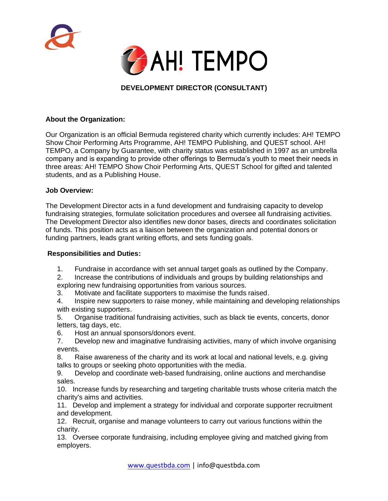



# **DEVELOPMENT DIRECTOR (CONSULTANT)**

### **About the Organization:**

Our Organization is an official Bermuda registered charity which currently includes: AH! TEMPO Show Choir Performing Arts Programme, AH! TEMPO Publishing, and QUEST school. AH! TEMPO, a Company by Guarantee, with charity status was established in 1997 as an umbrella company and is expanding to provide other offerings to Bermuda's youth to meet their needs in three areas: AH! TEMPO Show Choir Performing Arts, QUEST School for gifted and talented students, and as a Publishing House.

#### **Job Overview:**

The Development Director acts in a fund development and fundraising capacity to develop fundraising strategies, formulate solicitation procedures and oversee all fundraising activities. The Development Director also identifies new donor bases, directs and coordinates solicitation of funds. This position acts as a liaison between the organization and potential donors or funding partners, leads grant writing efforts, and sets funding goals.

#### **Responsibilities and Duties:**

- 1. Fundraise in accordance with set annual target goals as outlined by the Company.
- 2. Increase the contributions of individuals and groups by building relationships and exploring new fundraising opportunities from various sources.
- 3. Motivate and facilitate supporters to maximise the funds raised.
- 4. Inspire new supporters to raise money, while maintaining and developing relationships with existing supporters.
- 5. Organise traditional fundraising activities, such as black tie events, concerts, donor letters, tag days, etc.
- 6. Host an annual sponsors/donors event.
- 7. Develop new and imaginative fundraising activities, many of which involve organising events.
- 8. Raise awareness of the charity and its work at local and national levels, e.g. giving talks to groups or seeking photo opportunities with the media.
- 9. Develop and coordinate web-based fundraising, online auctions and merchandise sales.
- 10. Increase funds by researching and targeting charitable trusts whose criteria match the charity's aims and activities.
- 11. Develop and implement a strategy for individual and corporate supporter recruitment and development.
- 12. Recruit, organise and manage volunteers to carry out various functions within the charity.
- 13. Oversee corporate fundraising, including employee giving and matched giving from employers.